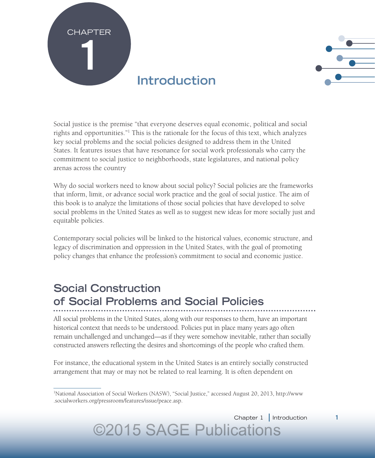



### **Introduction**

Social publice: is the premise "that everyone deserves equal economic, political and social positics, and opportunities." This is the rationale for the focus of this text, which analyzes key social problems and the social rights and opportunities."1 This is the rationale for the focus of this text, which analyzes key social problems and the social policies designed to address them in the United States. It features issues that have resonance for social work professionals who carry the commitment to social justice to neighborhoods, state legislatures, and national policy arenas across the country

Why do social workers need to know about social policy? Social policies are the frameworks that inform, limit, or advance social work practice and the goal of social justice. The aim of this book is to analyze the limitations of those social policies that have developed to solve social problems in the United States as well as to suggest new ideas for more socially just and equitable policies.

Contemporary social policies will be linked to the historical values, economic structure, and legacy of discrimination and oppression in the United States, with the goal of promoting policy changes that enhance the profession's commitment to social and economic justice.

### **Social Construction of Social Problems and Social Policies**

All social problems in the United States, along with our responses to them, have an important historical context that needs to be understood. Policies put in place many years ago often remain unchallenged and unchanged—as if they were somehow inevitable, rather than socially constructed answers reflecting the desires and shortcomings of the people who crafted them.

For instance, the educational system in the United States is an entirely socially constructed arrangement that may or may not be related to real learning. It is often dependent on

©2015 SAGE Publications

Chapter 1 **|** Introduction **1**

<sup>1</sup> National Association of Social Workers (NASW), "Social Justice," accessed August 20, 2013, http://www .socialworkers.org/pressroom/features/issue/peace.asp.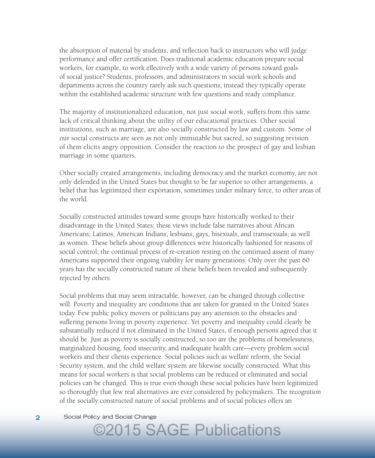the absorption of material by students, and reflection back to instructors who will judge performance and offer certification. Does traditional academic education prepare social workers, for example, to work effectively with a wide variety of persons toward goals of social justice? Students, professors, and administrators in social work schools and departments across the country rarely ask such questions; instead they typically operate within the established academic structure with few questions and ready compliance.

The majority of institutionalized education, not just social work, suffers from this same lack of critical thinking about the utility of our educational practices. Other social institutions, such as marriage, are also socially constructed by law and custom. Some of our social constructs are seen as not only immutable but sacred, so suggesting revision of them elicits angry opposition. Consider the reaction to the prospect of gay and lesbian marriage in some quarters.

Other socially created arrangements, including democracy and the market economy, are not only defended in the United States but thought to be far superior to other arrangements, a belief that has legitimized their exportation, sometimes under military force, to other areas of the world.

Socially constructed attitudes toward some groups have historically worked to their disadvantage in the United States; these views include false narratives about African Americans; Latinos; American Indians; lesbians, gays, bisexuals, and transsexuals; as well as women. These beliefs about group differences were historically fashioned for reasons of social control; the continual process of re-creation resting on the continued assent of many Americans supported their ongoing viability for many generations. Only over the past 60 years has the socially constructed nature of these beliefs been revealed and subsequently rejected by others.

Social problems that may seem intractable, however, can be changed through collective will. Poverty and inequality are conditions that are taken for granted in the United States today. Few public policy movers or politicians pay any attention to the obstacles and suffering persons living in poverty experience. Yet poverty and inequality could clearly be substantially reduced if not eliminated in the United States, if enough persons agreed that it should be. Just as poverty is socially constructed, so too are the problems of homelessness, marginalized housing, food insecurity, and inadequate health care—every problem social workers and their clients experience. Social policies such as welfare reform, the Social Security system, and the child welfare system are likewise socially constructed. What this means for social workers is that social problems can be reduced or eliminated and social policies can be changed. This is true even though these social policies have been legitimized so thoroughly that few real alternatives are ever considered by policymakers. The recognition of the socially constructed nature of social problems and of social policies offers an

**2** Social Policy and Social Change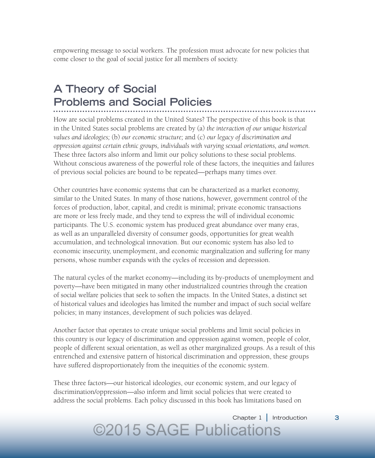empowering message to social workers. The profession must advocate for new policies that come closer to the goal of social justice for all members of society.

## **A Theory of Social Problems and Social Policies**

How are social problems created in the United States? The perspective of this book is that in the United States social problems are created by (a) *the interaction of our unique historical values and ideologies;* (b) *our economic structure;* and (c) *our legacy of discrimination and oppression against certain ethnic groups, individuals with varying sexual orientations, and women.* These three factors also inform and limit our policy solutions to these social problems. Without conscious awareness of the powerful role of these factors, the inequities and failures of previous social policies are bound to be repeated—perhaps many times over.

Other countries have economic systems that can be characterized as a market economy, similar to the United States. In many of those nations, however, government control of the forces of production, labor, capital, and credit is minimal; private economic transactions are more or less freely made, and they tend to express the will of individual economic participants. The U.S. economic system has produced great abundance over many eras, as well as an unparalleled diversity of consumer goods, opportunities for great wealth accumulation, and technological innovation. But our economic system has also led to economic insecurity, unemployment, and economic marginalization and suffering for many persons, whose number expands with the cycles of recession and depression.

The natural cycles of the market economy—including its by-products of unemployment and poverty—have been mitigated in many other industrialized countries through the creation of social welfare policies that seek to soften the impacts. In the United States, a distinct set of historical values and ideologies has limited the number and impact of such social welfare policies; in many instances, development of such policies was delayed.

Another factor that operates to create unique social problems and limit social policies in this country is our legacy of discrimination and oppression against women, people of color, people of different sexual orientation, as well as other marginalized groups. As a result of this entrenched and extensive pattern of historical discrimination and oppression, these groups have suffered disproportionately from the inequities of the economic system.

These three factors—our historical ideologies, our economic system, and our legacy of discrimination/oppression—also inform and limit social policies that were created to address the social problems. Each policy discussed in this book has limitations based on

### Chapter 1 **|** Introduction **3** ©2015 SAGE Publications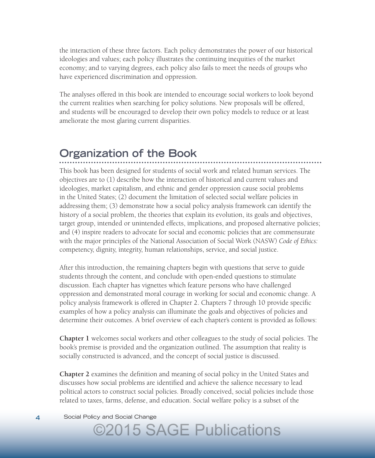the interaction of these three factors. Each policy demonstrates the power of our historical ideologies and values; each policy illustrates the continuing inequities of the market economy; and to varying degrees, each policy also fails to meet the needs of groups who have experienced discrimination and oppression.

The analyses offered in this book are intended to encourage social workers to look beyond the current realities when searching for policy solutions. New proposals will be offered, and students will be encouraged to develop their own policy models to reduce or at least ameliorate the most glaring current disparities.

### **Organization of the Book**

This book has been designed for students of social work and related human services. The objectives are to (1) describe how the interaction of historical and current values and ideologies, market capitalism, and ethnic and gender oppression cause social problems in the United States; (2) document the limitation of selected social welfare policies in addressing them; (3) demonstrate how a social policy analysis framework can identify the history of a social problem, the theories that explain its evolution, its goals and objectives, target group, intended or unintended effects, implications, and proposed alternative policies; and (4) inspire readers to advocate for social and economic policies that are commensurate with the major principles of the National Association of Social Work (NASW) *Code of Ethics:* competency, dignity, integrity, human relationships, service, and social justice.

After this introduction, the remaining chapters begin with questions that serve to guide students through the content, and conclude with open-ended questions to stimulate discussion. Each chapter has vignettes which feature persons who have challenged oppression and demonstrated moral courage in working for social and economic change. A policy analysis framework is offered in Chapter 2. Chapters 7 through 10 provide specific examples of how a policy analysis can illuminate the goals and objectives of policies and determine their outcomes. A brief overview of each chapter's content is provided as follows:

**Chapter 1** welcomes social workers and other colleagues to the study of social policies. The book's premise is provided and the organization outlined. The assumption that reality is socially constructed is advanced, and the concept of social justice is discussed.

**Chapter 2** examines the definition and meaning of social policy in the United States and discusses how social problems are identified and achieve the salience necessary to lead political actors to construct social policies. Broadly conceived, social policies include those related to taxes, farms, defense, and education. Social welfare policy is a subset of the

**4** Social Policy and Social Change

# ©2015 SAGE Publications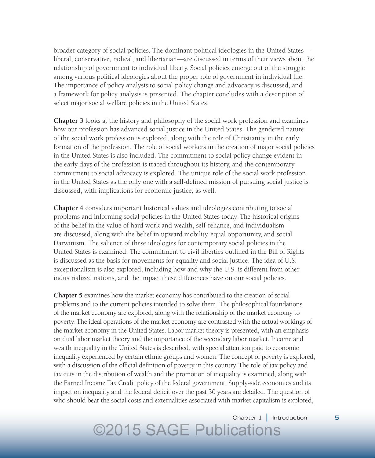broader category of social policies. The dominant political ideologies in the United States liberal, conservative, radical, and libertarian—are discussed in terms of their views about the relationship of government to individual liberty. Social policies emerge out of the struggle among various political ideologies about the proper role of government in individual life. The importance of policy analysis to social policy change and advocacy is discussed, and a framework for policy analysis is presented. The chapter concludes with a description of select major social welfare policies in the United States.

**Chapter 3** looks at the history and philosophy of the social work profession and examines how our profession has advanced social justice in the United States. The gendered nature of the social work profession is explored, along with the role of Christianity in the early formation of the profession. The role of social workers in the creation of major social policies in the United States is also included. The commitment to social policy change evident in the early days of the profession is traced throughout its history, and the contemporary commitment to social advocacy is explored. The unique role of the social work profession in the United States as the only one with a self-defined mission of pursuing social justice is discussed, with implications for economic justice, as well.

**Chapter 4** considers important historical values and ideologies contributing to social problems and informing social policies in the United States today. The historical origins of the belief in the value of hard work and wealth, self-reliance, and individualism are discussed, along with the belief in upward mobility, equal opportunity, and social Darwinism. The salience of these ideologies for contemporary social policies in the United States is examined. The commitment to civil liberties outlined in the Bill of Rights is discussed as the basis for movements for equality and social justice. The idea of U.S. exceptionalism is also explored, including how and why the U.S. is different from other industrialized nations, and the impact these differences have on our social policies.

**Chapter 5** examines how the market economy has contributed to the creation of social problems and to the current policies intended to solve them. The philosophical foundations of the market economy are explored, along with the relationship of the market economy to poverty. The ideal operations of the market economy are contrasted with the actual workings of the market economy in the United States. Labor market theory is presented, with an emphasis on dual labor market theory and the importance of the secondary labor market. Income and wealth inequality in the United States is described, with special attention paid to economic inequality experienced by certain ethnic groups and women. The concept of poverty is explored, with a discussion of the official definition of poverty in this country. The role of tax policy and tax cuts in the distribution of wealth and the promotion of inequality is examined, along with the Earned Income Tax Credit policy of the federal government. Supply-side economics and its impact on inequality and the federal deficit over the past 30 years are detailed. The question of who should bear the social costs and externalities associated with market capitalism is explored,

### Chapter 1 **|** Introduction **5** ©2015 SAGE Publications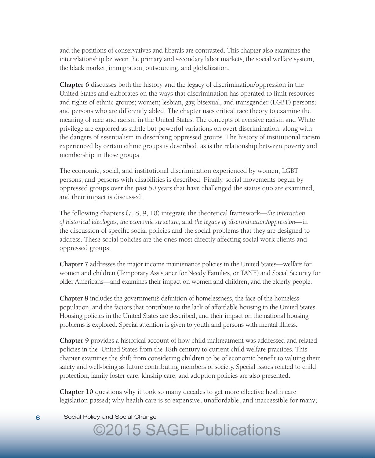and the positions of conservatives and liberals are contrasted. This chapter also examines the interrelationship between the primary and secondary labor markets, the social welfare system, the black market, immigration, outsourcing, and globalization.

**Chapter 6** discusses both the history and the legacy of discrimination/oppression in the United States and elaborates on the ways that discrimination has operated to limit resources and rights of ethnic groups; women; lesbian, gay, bisexual, and transgender (LGBT) persons; and persons who are differently abled. The chapter uses critical race theory to examine the meaning of race and racism in the United States. The concepts of aversive racism and White privilege are explored as subtle but powerful variations on overt discrimination, along with the dangers of essentialism in describing oppressed groups. The history of institutional racism experienced by certain ethnic groups is described, as is the relationship between poverty and membership in those groups.

The economic, social, and institutional discrimination experienced by women, LGBT persons, and persons with disabilities is described. Finally, social movements begun by oppressed groups over the past 50 years that have challenged the status quo are examined, and their impact is discussed.

The following chapters (7, 8, 9, 10) integrate the theoretical framework—*the interaction of historical ideologies, the economic structure,* and *the legacy of discrimination/oppression*—in the discussion of specific social policies and the social problems that they are designed to address. These social policies are the ones most directly affecting social work clients and oppressed groups.

**Chapter 7** addresses the major income maintenance policies in the United States—welfare for women and children (Temporary Assistance for Needy Families, or TANF) and Social Security for older Americans—and examines their impact on women and children, and the elderly people.

**Chapter 8** includes the government's definition of homelessness, the face of the homeless population, and the factors that contribute to the lack of affordable housing in the United States. Housing policies in the United States are described, and their impact on the national housing problems is explored. Special attention is given to youth and persons with mental illness.

**Chapter 9** provides a historical account of how child maltreatment was addressed and related policies in the United States from the 18th century to current child welfare practices. This chapter examines the shift from considering children to be of economic benefit to valuing their safety and well-being as future contributing members of society. Special issues related to child protection, family foster care, kinship care, and adoption policies are also presented.

**Chapter 10** questions why it took so many decades to get more effective health care legislation passed; why health care is so expensive, unaffordable, and inaccessible for many;

**6** Social Policy and Social Change

# ©2015 SAGE Publications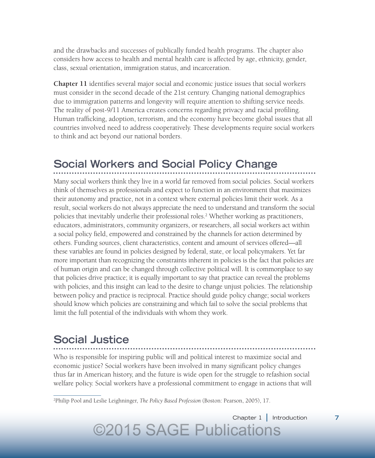and the drawbacks and successes of publically funded health programs. The chapter also considers how access to health and mental health care is affected by age, ethnicity, gender, class, sexual orientation, immigration status, and incarceration.

**Chapter 11** identifies several major social and economic justice issues that social workers must consider in the second decade of the 21st century. Changing national demographics due to immigration patterns and longevity will require attention to shifting service needs. The reality of post-9/11 America creates concerns regarding privacy and racial profiling. Human trafficking, adoption, terrorism, and the economy have become global issues that all countries involved need to address cooperatively. These developments require social workers to think and act beyond our national borders.

#### **Social Workers and Social Policy Change**

Many social workers think they live in a world far removed from social policies. Social workers think of themselves as professionals and expect to function in an environment that maximizes their autonomy and practice, not in a context where external policies limit their work. As a result, social workers do not always appreciate the need to understand and transform the social policies that inevitably underlie their professional roles.<sup>2</sup> Whether working as practitioners, educators, administrators, community organizers, or researchers, all social workers act within a social policy field, empowered and constrained by the channels for action determined by others. Funding sources, client characteristics, content and amount of services offered—all these variables are found in policies designed by federal, state, or local policymakers. Yet far more important than recognizing the constraints inherent in policies is the fact that policies are of human origin and can be changed through collective political will. It is commonplace to say that policies drive practice; it is equally important to say that practice can reveal the problems with policies, and this insight can lead to the desire to change unjust policies. The relationship between policy and practice is reciprocal. Practice should guide policy change; social workers should know which policies are constraining and which fail to solve the social problems that limit the full potential of the individuals with whom they work.

### **Social Justice**

Who is responsible for inspiring public will and political interest to maximize social and economic justice? Social workers have been involved in many significant policy changes thus far in American history, and the future is wide open for the struggle to refashion social welfare policy. Social workers have a professional commitment to engage in actions that will

<sup>2</sup> Philip Pool and Leslie Leighninger, *The Policy Based Profession* (Boston: Pearson, 2005), 17.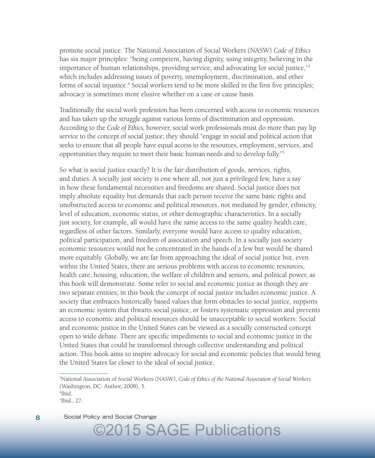promote social justice. The National Association of Social Workers (NASW) *Code of Ethics* has six major principles: "being competent, having dignity, using integrity, believing in the importance of human relationships, providing service, and advocating for social justice,"3 which includes addressing issues of poverty, unemployment, discrimination, and other forms of social injustice.<sup>4</sup> Social workers tend to be more skilled in the first five principles; advocacy is sometimes more elusive whether on a case or cause basis.

Traditionally the social work profession has been concerned with access to economic resources and has taken up the struggle against various forms of discrimination and oppression. According to the *Code of Ethics,* however, social work professionals must do more than pay lip service to the concept of social justice; they should "engage in social and political action that seeks to ensure that all people have equal access to the resources, employment, services, and opportunities they require to meet their basic human needs and to develop fully."5

So what is social justice exactly? It is the fair distribution of goods, services, rights, and duties. A socially just society is one where all, not just a privileged few, have a say in how these fundamental necessities and freedoms are shared. Social justice does not imply absolute equality but demands that each person receive the same basic rights and unobstructed access to economic and political resources, not mediated by gender, ethnicity, level of education, economic status, or other demographic characteristics. In a socially just society, for example, all would have the same access to the same quality health care, regardless of other factors. Similarly, everyone would have access to quality education, political participation, and freedom of association and speech. In a socially just society economic resources would not be concentrated in the hands of a few but would be shared more equitably. Globally, we are far from approaching the ideal of social justice but, even within the United States, there are serious problems with access to economic resources, health care, housing, education, the welfare of children and seniors, and political power, as this book will demonstrate. Some refer to social and economic justice as though they are two separate entities; in this book the concept of social justice includes economic justice. A society that embraces historically based values that form obstacles to social justice, supports an economic system that thwarts social justice, or fosters systematic oppression and prevents access to economic and political resources should be unacceptable to social workers. Social and economic justice in the United States can be viewed as a socially constructed concept open to wide debate. There are specific impediments to social and economic justice in the United States that could be transformed through collective understanding and political action. This book aims to inspire advocacy for social and economic policies that would bring the United States far closer to the ideal of social justice.

**8** Social Policy and Social Change

<sup>3</sup> National Association of Social Workers (NASW), *Code of Ethics of the National Association of Social Workers* (Washington, DC: Author, 2008), 5.

<sup>4</sup> Ibid. 5 Ibid.*,* 27.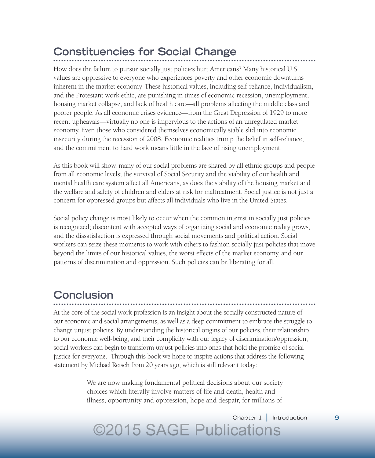### **Constituencies for Social Change**

How does the failure to pursue socially just policies hurt Americans? Many historical U.S. values are oppressive to everyone who experiences poverty and other economic downturns inherent in the market economy. These historical values, including self-reliance, individualism, and the Protestant work ethic, are punishing in times of economic recession, unemployment, housing market collapse, and lack of health care—all problems affecting the middle class and poorer people. As all economic crises evidence—from the Great Depression of 1929 to more recent upheavals—virtually no one is impervious to the actions of an unregulated market economy. Even those who considered themselves economically stable slid into economic insecurity during the recession of 2008. Economic realities trump the belief in self-reliance, and the commitment to hard work means little in the face of rising unemployment.

As this book will show, many of our social problems are shared by all ethnic groups and people from all economic levels; the survival of Social Security and the viability of our health and mental health care system affect all Americans, as does the stability of the housing market and the welfare and safety of children and elders at risk for maltreatment. Social justice is not just a concern for oppressed groups but affects all individuals who live in the United States.

Social policy change is most likely to occur when the common interest in socially just policies is recognized; discontent with accepted ways of organizing social and economic reality grows, and the dissatisfaction is expressed through social movements and political action. Social workers can seize these moments to work with others to fashion socially just policies that move beyond the limits of our historical values, the worst effects of the market economy, and our patterns of discrimination and oppression. Such policies can be liberating for all.

# **Conclusion**

At the core of the social work profession is an insight about the socially constructed nature of our economic and social arrangements, as well as a deep commitment to embrace the struggle to change unjust policies. By understanding the historical origins of our policies, their relationship to our economic well-being, and their complicity with our legacy of discrimination/oppression, social workers can begin to transform unjust policies into ones that hold the promise of social justice for everyone. Through this book we hope to inspire actions that address the following statement by Michael Reisch from 20 years ago, which is still relevant today:

> We are now making fundamental political decisions about our society choices which literally involve matters of life and death, health and illness, opportunity and oppression, hope and despair, for millions of

### Chapter 1 **|** Introduction **9** ©2015 SAGE Publications